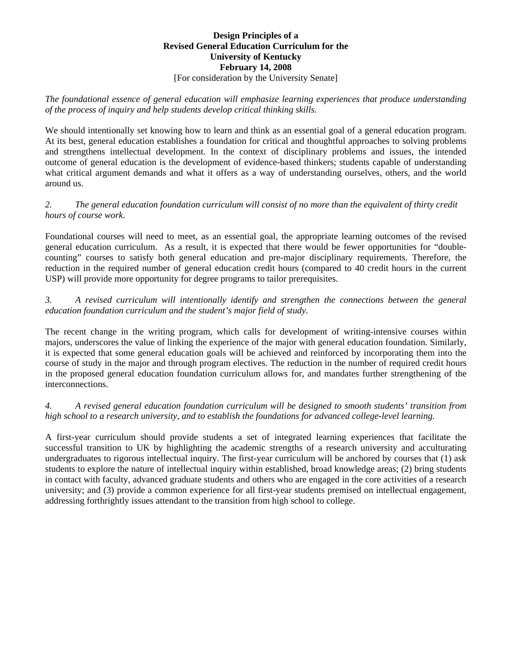#### **Design Principles of a Revised General Education Curriculum for the University of Kentucky February 14, 2008**  [For consideration by the University Senate]

*The foundational essence of general education will emphasize learning experiences that produce understanding of the process of inquiry and help students develop critical thinking skills.* 

We should intentionally set knowing how to learn and think as an essential goal of a general education program. At its best, general education establishes a foundation for critical and thoughtful approaches to solving problems and strengthens intellectual development. In the context of disciplinary problems and issues, the intended outcome of general education is the development of evidence-based thinkers; students capable of understanding what critical argument demands and what it offers as a way of understanding ourselves, others, and the world around us.

# *2. The general education foundation curriculum will consist of no more than the equivalent of thirty credit hours of course work.*

Foundational courses will need to meet, as an essential goal, the appropriate learning outcomes of the revised general education curriculum. As a result, it is expected that there would be fewer opportunities for "doublecounting" courses to satisfy both general education and pre-major disciplinary requirements. Therefore, the reduction in the required number of general education credit hours (compared to 40 credit hours in the current USP) will provide more opportunity for degree programs to tailor prerequisites.

## *3. A revised curriculum will intentionally identify and strengthen the connections between the general education foundation curriculum and the student's major field of study.*

The recent change in the writing program, which calls for development of writing-intensive courses within majors, underscores the value of linking the experience of the major with general education foundation. Similarly, it is expected that some general education goals will be achieved and reinforced by incorporating them into the course of study in the major and through program electives. The reduction in the number of required credit hours in the proposed general education foundation curriculum allows for, and mandates further strengthening of the interconnections.

## *4. A revised general education foundation curriculum will be designed to smooth students' transition from high school to a research university, and to establish the foundations for advanced college-level learning.*

A first-year curriculum should provide students a set of integrated learning experiences that facilitate the successful transition to UK by highlighting the academic strengths of a research university and acculturating undergraduates to rigorous intellectual inquiry. The first-year curriculum will be anchored by courses that (1) ask students to explore the nature of intellectual inquiry within established, broad knowledge areas; (2) bring students in contact with faculty, advanced graduate students and others who are engaged in the core activities of a research university; and (3) provide a common experience for all first-year students premised on intellectual engagement, addressing forthrightly issues attendant to the transition from high school to college.